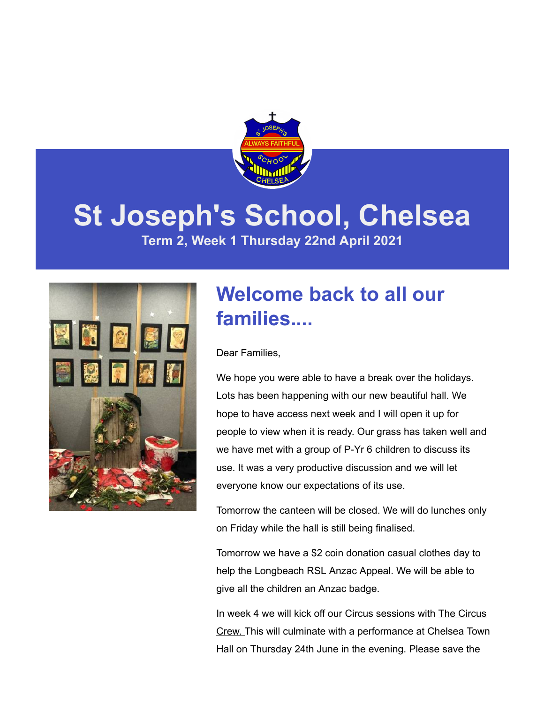

# **St Joseph's School, Chelsea**

**Term 2, Week 1 Thursday 22nd April 2021**



# **Welcome back to all our families....**

Dear Families,

We hope you were able to have a break over the holidays. Lots has been happening with our new beautiful hall. We hope to have access next week and I will open it up for people to view when it is ready. Our grass has taken well and we have met with a group of P-Yr 6 children to discuss its use. It was a very productive discussion and we will let everyone know our expectations of its use.

Tomorrow the canteen will be closed. We will do lunches only on Friday while the hall is still being finalised.

Tomorrow we have a \$2 coin donation casual clothes day to help the Longbeach RSL Anzac Appeal. We will be able to give all the children an Anzac badge.

In week 4 we will kick off our Circus sessions with The Circus Crew. This will culminate with a performance at Chelsea Town Hall on Thursday 24th June in the evening. Please save the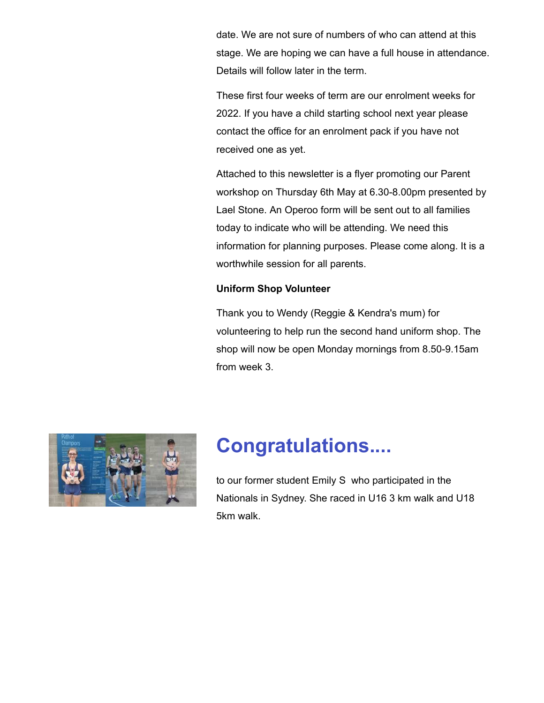date. We are not sure of numbers of who can attend at this stage. We are hoping we can have a full house in attendance. Details will follow later in the term.

These first four weeks of term are our enrolment weeks for 2022. If you have a child starting school next year please contact the office for an enrolment pack if you have not received one as yet.

Attached to this newsletter is a flyer promoting our Parent workshop on Thursday 6th May at 6.30-8.00pm presented by Lael Stone. An Operoo form will be sent out to all families today to indicate who will be attending. We need this information for planning purposes. Please come along. It is a worthwhile session for all parents.

#### **Uniform Shop Volunteer**

Thank you to Wendy (Reggie & Kendra's mum) for volunteering to help run the second hand uniform shop. The shop will now be open Monday mornings from 8.50-9.15am from week 3.



# **Congratulations....**

to our former student Emily S who participated in the Nationals in Sydney. She raced in U16 3 km walk and U18 5km walk.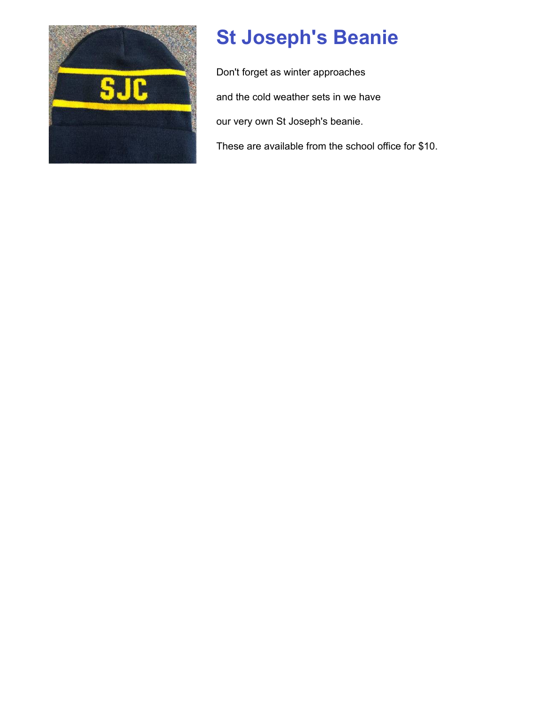

# **St Joseph's Beanie**

Don't forget as winter approaches and the cold weather sets in we have our very own St Joseph's beanie. These are available from the school office for \$10.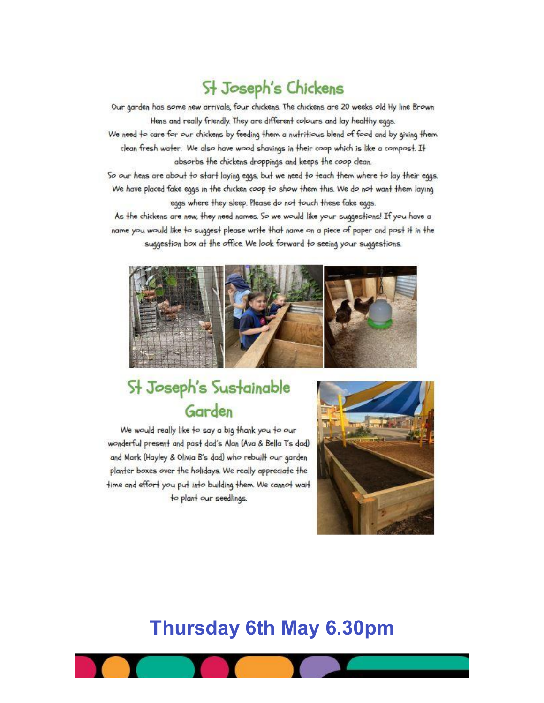### St Joseph's Chickens

Our garden has some new arrivals, four chickens. The chickens are 20 weeks old Hy line Brown Hens and really friendly. They are different colours and lay healthy eggs. We need to care for our chickens by feeding them a nutritious blend of food and by giving them clean fresh water. We also have wood shavings in their coop which is like a compost. It absorbs the chickens droppings and keeps the coop clean.

So our hens are about to start laying eggs, but we need to teach them where to lay their eggs. We have placed fake eggs in the chicken coop to show them this. We do not want them laying eggs where they sleep. Please do not touch these fake eggs.

As the chickens are new, they need names. So we would like your suggestions! If you have a name you would like to suggest please write that name on a piece of paper and post it in the suggestion box at the office. We look forward to seeing your suggestions.



### St Joseph's Sustainable Garden

We would really like to say a big thank you to our wonderful present and past dad's Alan (Ava & Bella T's dad) and Mark (Hayley & Olivia B's dad) who rebuilt our garden planter boxes over the holidays. We really appreciate the time and effort you put into building them. We cannot wait to plant our seedlings.



### **Thursday 6th May 6.30pm**

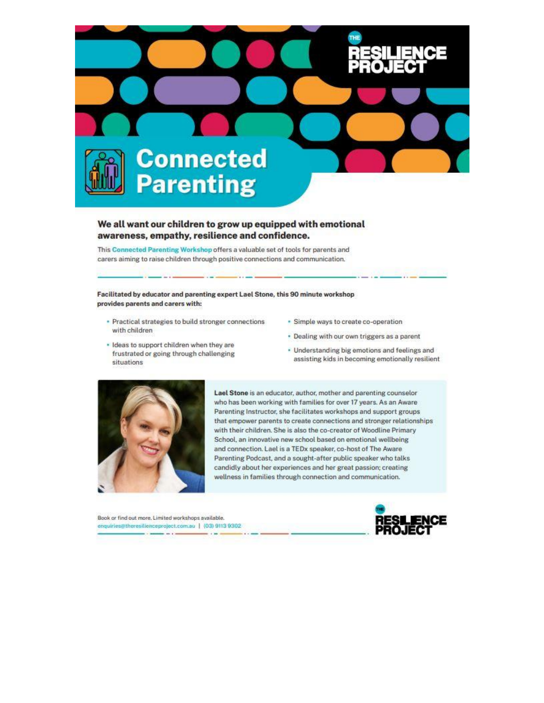

#### We all want our children to grow up equipped with emotional awareness, empathy, resilience and confidence.

This Connected Parenting Workshop offers a valuable set of tools for parents and carers aiming to raise children through positive connections and communication.

Facilitated by educator and parenting expert Lael Stone, this 90 minute workshop provides parents and carers with:

- · Practical strategies to build stronger connections with children
- · Ideas to support children when they are frustrated or going through challenging situations
- · Simple ways to create co-operation
- . Dealing with our own triggers as a parent
- Understanding big emotions and feelings and assisting kids in becoming emotionally resilient



Lael Stone is an educator, author, mother and parenting counselor who has been working with families for over 17 years. As an Aware Parenting Instructor, she facilitates workshops and support groups that empower parents to create connections and stronger relationships with their children. She is also the co-creator of Woodline Primary School, an innovative new school based on emotional wellbeing and connection. Lael is a TEDx speaker, co-host of The Aware Parenting Podcast, and a sought-after public speaker who talks candidly about her experiences and her great passion; creating wellness in families through connection and communication.

Book or find out more. Limited workshops available. enquiries@theresitienceproject.com.au | (03) 9113 9302  $-1$ 

 $1.141$ 

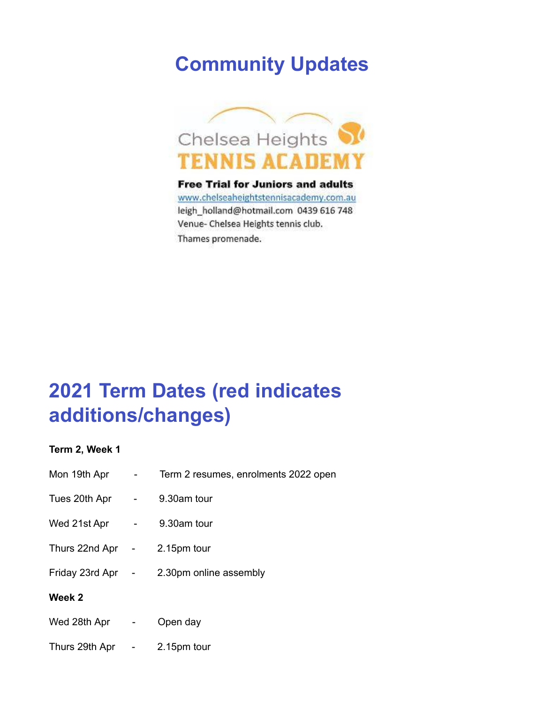## **Community Updates**



**Free Trial for Juniors and adults** www.chelseaheightstennisacademy.com.au leigh\_holland@hotmail.com 0439 616 748 Venue- Chelsea Heights tennis club. Thames promenade.

# **2021 Term Dates (red indicates additions/changes)**

**Term 2, Week 1**

| Mon 19th Apr      |   | Term 2 resumes, enrolments 2022 open |
|-------------------|---|--------------------------------------|
| Tues 20th Apr -   |   | 9.30am tour                          |
| Wed 21st Apr      | ۰ | 9.30am tour                          |
| Thurs 22nd Apr -  |   | 2.15pm tour                          |
| Friday 23rd Apr - |   | 2.30pm online assembly               |
| Week 2            |   |                                      |
| Wed 28th Apr -    |   | Open day                             |
| Thurs 29th Apr -  |   | 2.15pm tour                          |
|                   |   |                                      |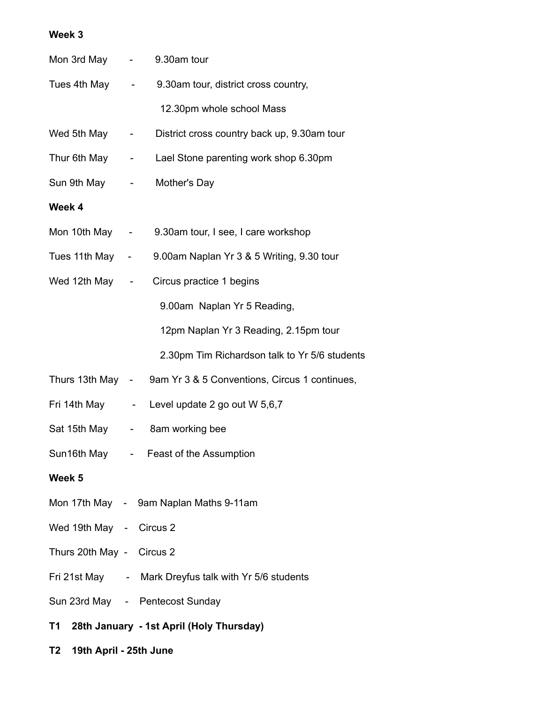#### **Week 3**

| 19th April - 25th June<br>T2 |  |                                                                |  |  |
|------------------------------|--|----------------------------------------------------------------|--|--|
| T1                           |  | 28th January - 1st April (Holy Thursday)                       |  |  |
|                              |  | Sun 23rd May - Pentecost Sunday                                |  |  |
|                              |  | Fri 21st May - Mark Dreyfus talk with Yr 5/6 students          |  |  |
| Thurs 20th May - Circus 2    |  |                                                                |  |  |
| Wed 19th May - Circus 2      |  |                                                                |  |  |
|                              |  | Mon 17th May - 9am Naplan Maths 9-11am                         |  |  |
| Week 5                       |  |                                                                |  |  |
|                              |  | Sun16th May - Feast of the Assumption                          |  |  |
|                              |  | Sat 15th May - 8am working bee                                 |  |  |
|                              |  | Fri 14th May - Level update 2 go out W 5,6,7                   |  |  |
|                              |  | Thurs 13th May - 9am Yr 3 & 5 Conventions, Circus 1 continues, |  |  |
|                              |  | 2.30pm Tim Richardson talk to Yr 5/6 students                  |  |  |
|                              |  | 12pm Naplan Yr 3 Reading, 2.15pm tour                          |  |  |
|                              |  | 9.00am Naplan Yr 5 Reading,                                    |  |  |
| Wed 12th May -               |  | Circus practice 1 begins                                       |  |  |
|                              |  | Tues 11th May - 9.00am Naplan Yr 3 & 5 Writing, 9.30 tour      |  |  |
|                              |  | Mon 10th May - 9.30am tour, I see, I care workshop             |  |  |
| Week 4                       |  |                                                                |  |  |
|                              |  | Sun 9th May - Mother's Day                                     |  |  |
|                              |  | Thur 6th May - Lael Stone parenting work shop 6.30pm           |  |  |
| Wed 5th May -                |  | District cross country back up, 9.30am tour                    |  |  |
|                              |  | 12.30pm whole school Mass                                      |  |  |
|                              |  | Tues 4th May - 9.30am tour, district cross country,            |  |  |
| Mon 3rd May - 9.30am tour    |  |                                                                |  |  |